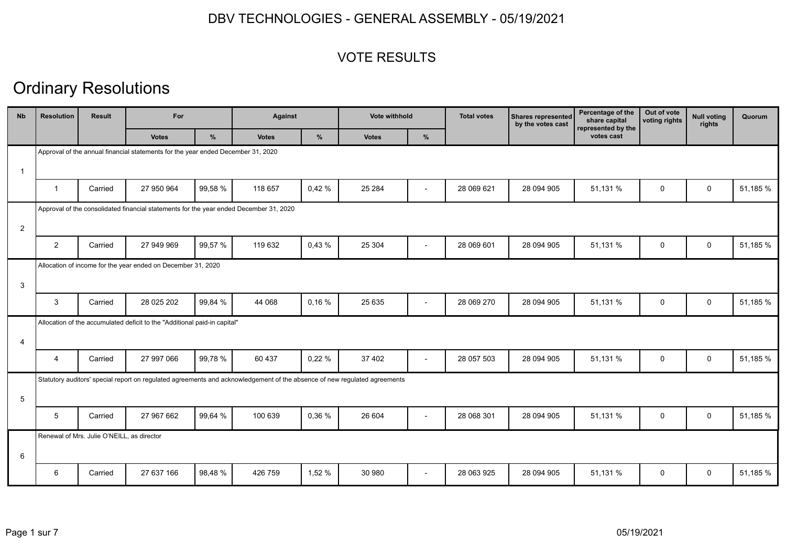### VOTE RESULTS

| <b>Nb</b>      | <b>Resolution</b> | <b>Result</b>                              | For                                                                                    |         |                                                                                                                           | <b>Against</b> |              | Vote withhold            | <b>Total votes</b> | <b>Shares represented</b><br>by the votes cast | Percentage of the<br>share capital<br>represented by the | Out of vote<br>voting rights | <b>Null voting</b><br>rights | Quorum   |
|----------------|-------------------|--------------------------------------------|----------------------------------------------------------------------------------------|---------|---------------------------------------------------------------------------------------------------------------------------|----------------|--------------|--------------------------|--------------------|------------------------------------------------|----------------------------------------------------------|------------------------------|------------------------------|----------|
|                |                   |                                            | <b>Votes</b>                                                                           | $\%$    | <b>Votes</b>                                                                                                              | %              | <b>Votes</b> | $\%$                     |                    |                                                | votes cast                                               |                              |                              |          |
|                |                   |                                            | Approval of the annual financial statements for the year ended December 31, 2020       |         |                                                                                                                           |                |              |                          |                    |                                                |                                                          |                              |                              |          |
| -1             |                   |                                            |                                                                                        |         |                                                                                                                           |                |              |                          |                    |                                                |                                                          |                              |                              |          |
|                | $\overline{1}$    | Carried                                    | 27 950 964                                                                             | 99,58 % | 118 657                                                                                                                   | 0,42%          | 25 2 84      | $\overline{\phantom{a}}$ | 28 069 621         | 28 094 905                                     | 51,131 %                                                 | 0                            | $\mathsf{O}$                 | 51,185 % |
|                |                   |                                            | Approval of the consolidated financial statements for the year ended December 31, 2020 |         |                                                                                                                           |                |              |                          |                    |                                                |                                                          |                              |                              |          |
| $\overline{2}$ |                   |                                            |                                                                                        |         |                                                                                                                           |                |              |                          |                    |                                                |                                                          |                              |                              |          |
|                | $\overline{2}$    | Carried                                    | 27 949 969                                                                             | 99,57 % | 119 632                                                                                                                   | 0,43%          | 25 304       |                          | 28 069 601         | 28 094 905                                     | 51,131 %                                                 | $\mathbf 0$                  | $\mathsf{O}$                 | 51,185 % |
|                |                   |                                            | Allocation of income for the year ended on December 31, 2020                           |         |                                                                                                                           |                |              |                          |                    |                                                |                                                          |                              |                              |          |
| 3              |                   |                                            |                                                                                        |         |                                                                                                                           |                |              |                          |                    |                                                |                                                          |                              |                              |          |
|                | 3                 | Carried                                    | 28 025 202                                                                             | 99,84 % | 44 068                                                                                                                    | 0,16%          | 25 635       | $\overline{\phantom{a}}$ | 28 069 270         | 28 094 905                                     | 51,131 %                                                 | $\mathbf 0$                  | $\mathbf 0$                  | 51,185 % |
|                |                   |                                            | Allocation of the accumulated deficit to the "Additional paid-in capital"              |         |                                                                                                                           |                |              |                          |                    |                                                |                                                          |                              |                              |          |
| 4              |                   |                                            |                                                                                        |         |                                                                                                                           |                |              |                          |                    |                                                |                                                          |                              |                              |          |
|                | 4                 | Carried                                    | 27 997 066                                                                             | 99,78 % | 60 437                                                                                                                    | 0,22%          | 37 402       | $\overline{\phantom{a}}$ | 28 057 503         | 28 094 905                                     | 51,131 %                                                 | 0                            | 0                            | 51,185 % |
|                |                   |                                            |                                                                                        |         | Statutory auditors' special report on regulated agreements and acknowledgement of the absence of new regulated agreements |                |              |                          |                    |                                                |                                                          |                              |                              |          |
| 5              |                   |                                            |                                                                                        |         |                                                                                                                           |                |              |                          |                    |                                                |                                                          |                              |                              |          |
|                | 5                 | Carried                                    | 27 967 662                                                                             | 99,64 % | 100 639                                                                                                                   | 0,36%          | 26 604       | $\overline{\phantom{a}}$ | 28 068 301         | 28 094 905                                     | 51,131 %                                                 | 0                            | $\mathsf{O}$                 | 51,185 % |
|                |                   | Renewal of Mrs. Julie O'NEILL, as director |                                                                                        |         |                                                                                                                           |                |              |                          |                    |                                                |                                                          |                              |                              |          |
| 6              |                   |                                            |                                                                                        |         |                                                                                                                           |                |              |                          |                    |                                                |                                                          |                              |                              |          |
|                | 6                 | Carried                                    | 27 637 166                                                                             | 98.48%  | 426 759                                                                                                                   | 1,52 %         | 30 980       | $\overline{\phantom{a}}$ | 28 063 925         | 28 094 905                                     | 51,131 %                                                 | $\mathbf 0$                  | $\mathbf 0$                  | 51.185 % |
|                |                   |                                            |                                                                                        |         |                                                                                                                           |                |              |                          |                    |                                                |                                                          |                              |                              |          |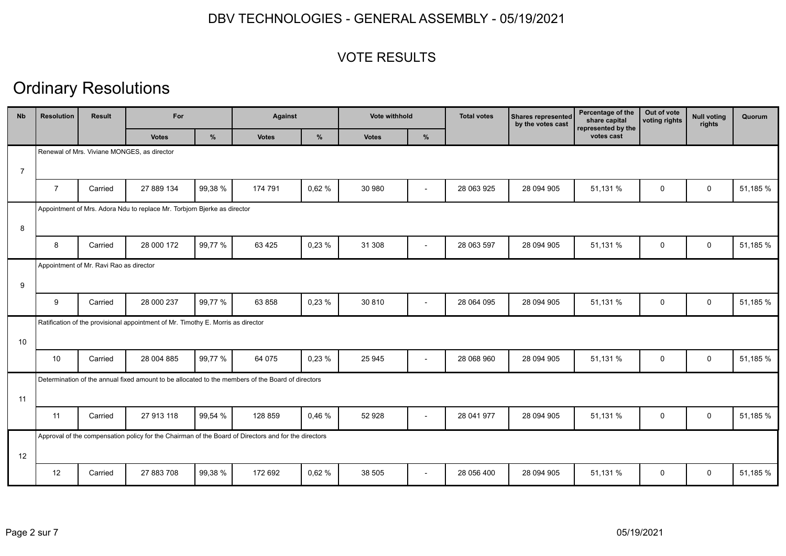### VOTE RESULTS

| <b>N<sub>b</sub></b> | <b>Resolution</b> | <b>Result</b>                           | For                                                                              |         |                                                                                                      | <b>Against</b> |              | Vote withhold            | <b>Total votes</b> | Shares represented<br>by the votes cast | Percentage of the<br>share capital<br>represented by the | Out of vote<br>voting rights | <b>Null voting</b><br>rights | Quorum   |
|----------------------|-------------------|-----------------------------------------|----------------------------------------------------------------------------------|---------|------------------------------------------------------------------------------------------------------|----------------|--------------|--------------------------|--------------------|-----------------------------------------|----------------------------------------------------------|------------------------------|------------------------------|----------|
|                      |                   |                                         | <b>Votes</b>                                                                     | %       | <b>Votes</b>                                                                                         | %              | <b>Votes</b> | %                        |                    |                                         | votes cast                                               |                              |                              |          |
|                      |                   |                                         | Renewal of Mrs. Viviane MONGES, as director                                      |         |                                                                                                      |                |              |                          |                    |                                         |                                                          |                              |                              |          |
| $\overline{7}$       |                   |                                         |                                                                                  |         |                                                                                                      |                |              |                          |                    |                                         |                                                          |                              |                              |          |
|                      | $\overline{7}$    | Carried                                 | 27 889 134                                                                       | 99,38 % | 174 791                                                                                              | 0,62%          | 30 980       | $\overline{\phantom{a}}$ | 28 063 925         | 28 094 905                              | 51,131 %                                                 | $\mathbf 0$                  | $\mathbf 0$                  | 51,185 % |
|                      |                   |                                         | Appointment of Mrs. Adora Ndu to replace Mr. Torbjorn Bjerke as director         |         |                                                                                                      |                |              |                          |                    |                                         |                                                          |                              |                              |          |
| 8                    |                   |                                         |                                                                                  |         |                                                                                                      |                |              |                          |                    |                                         |                                                          |                              |                              |          |
|                      | 8                 | Carried                                 | 28 000 172                                                                       | 99,77 % | 63 4 25                                                                                              | 0,23%          | 31 308       | $\overline{a}$           | 28 063 597         | 28 094 905                              | 51,131 %                                                 | 0                            | $\mathbf 0$                  | 51,185 % |
|                      |                   | Appointment of Mr. Ravi Rao as director |                                                                                  |         |                                                                                                      |                |              |                          |                    |                                         |                                                          |                              |                              |          |
| 9                    |                   |                                         |                                                                                  |         |                                                                                                      |                |              |                          |                    |                                         |                                                          |                              |                              |          |
|                      | 9                 | Carried                                 | 28 000 237                                                                       | 99,77 % | 63 858                                                                                               | 0,23%          | 30 810       | $\overline{\phantom{a}}$ | 28 064 095         | 28 094 905                              | 51,131 %                                                 | 0                            | $\mathbf 0$                  | 51,185 % |
|                      |                   |                                         | Ratification of the provisional appointment of Mr. Timothy E. Morris as director |         |                                                                                                      |                |              |                          |                    |                                         |                                                          |                              |                              |          |
| 10                   |                   |                                         |                                                                                  |         |                                                                                                      |                |              |                          |                    |                                         |                                                          |                              |                              |          |
|                      | 10                | Carried                                 | 28 004 885                                                                       | 99.77 % | 64 075                                                                                               | 0,23%          | 25 945       | $\overline{\phantom{0}}$ | 28 068 960         | 28 094 905                              | 51,131 %                                                 | $\mathbf 0$                  | $\mathbf 0$                  | 51,185 % |
|                      |                   |                                         |                                                                                  |         | Determination of the annual fixed amount to be allocated to the members of the Board of directors    |                |              |                          |                    |                                         |                                                          |                              |                              |          |
| 11                   |                   |                                         |                                                                                  |         |                                                                                                      |                |              |                          |                    |                                         |                                                          |                              |                              |          |
|                      | 11                | Carried                                 | 27 913 118                                                                       | 99,54 % | 128 859                                                                                              | 0,46%          | 52 928       | $\overline{\phantom{a}}$ | 28 041 977         | 28 094 905                              | 51,131 %                                                 | 0                            | $\mathsf{O}$                 | 51,185 % |
|                      |                   |                                         |                                                                                  |         | Approval of the compensation policy for the Chairman of the Board of Directors and for the directors |                |              |                          |                    |                                         |                                                          |                              |                              |          |
| 12                   |                   |                                         |                                                                                  |         |                                                                                                      |                |              |                          |                    |                                         |                                                          |                              |                              |          |
|                      | 12                | Carried                                 | 27 883 708                                                                       | 99,38 % | 172 692                                                                                              | 0,62%          | 38 505       | $\overline{a}$           | 28 056 400         | 28 094 905                              | 51,131 %                                                 | $\mathbf 0$                  | $\mathbf 0$                  | 51,185 % |
|                      |                   |                                         |                                                                                  |         |                                                                                                      |                |              |                          |                    |                                         |                                                          |                              |                              |          |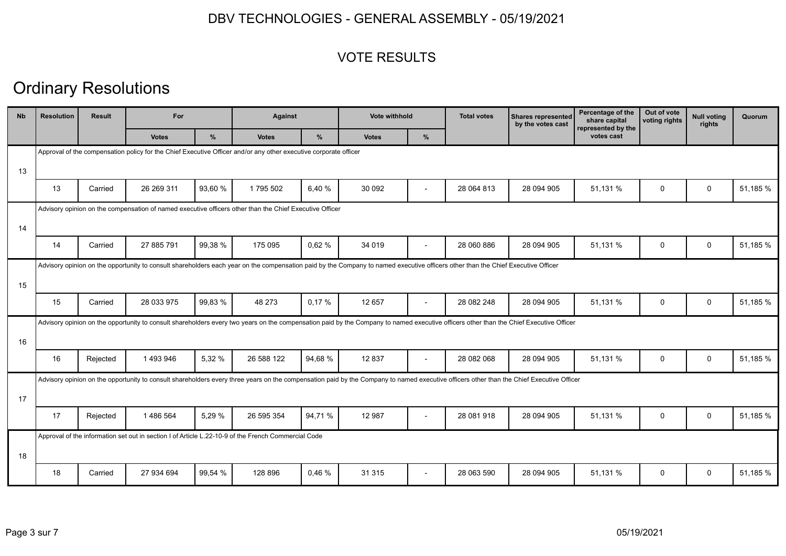### VOTE RESULTS

| <b>Nb</b> | <b>Resolution</b> | <b>Result</b> | For                                                                                                              |         |              | <b>Against</b> |                                                                                                                                                                                          | <b>Vote withhold</b>     | <b>Total votes</b> | Percentage of the<br><b>Shares represented</b><br>share capital<br>by the votes cast<br>represented by the | Out of vote<br>voting rights | <b>Null voting</b><br>rights | Quorum       |          |
|-----------|-------------------|---------------|------------------------------------------------------------------------------------------------------------------|---------|--------------|----------------|------------------------------------------------------------------------------------------------------------------------------------------------------------------------------------------|--------------------------|--------------------|------------------------------------------------------------------------------------------------------------|------------------------------|------------------------------|--------------|----------|
|           |                   |               | <b>Votes</b>                                                                                                     | %       | <b>Votes</b> | %              | <b>Votes</b>                                                                                                                                                                             | %                        |                    |                                                                                                            | votes cast                   |                              |              |          |
|           |                   |               | Approval of the compensation policy for the Chief Executive Officer and/or any other executive corporate officer |         |              |                |                                                                                                                                                                                          |                          |                    |                                                                                                            |                              |                              |              |          |
| 13        |                   |               |                                                                                                                  |         |              |                |                                                                                                                                                                                          |                          |                    |                                                                                                            |                              |                              |              |          |
|           | 13                | Carried       | 26 269 311                                                                                                       | 93.60 % | 1795 502     | 6,40 %         | 30 092                                                                                                                                                                                   | $\overline{\phantom{a}}$ | 28 064 813         | 28 094 905                                                                                                 | 51,131 %                     | $\mathbf 0$                  | $\mathbf 0$  | 51.185 % |
|           |                   |               | Advisory opinion on the compensation of named executive officers other than the Chief Executive Officer          |         |              |                |                                                                                                                                                                                          |                          |                    |                                                                                                            |                              |                              |              |          |
| 14        |                   |               |                                                                                                                  |         |              |                |                                                                                                                                                                                          |                          |                    |                                                                                                            |                              |                              |              |          |
|           | 14                | Carried       | 27 885 791                                                                                                       | 99,38 % | 175 095      | 0,62%          | 34 019                                                                                                                                                                                   |                          | 28 060 886         | 28 094 905                                                                                                 | 51,131 %                     | $\mathbf 0$                  | $\mathsf{O}$ | 51,185 % |
|           |                   |               |                                                                                                                  |         |              |                | Advisory opinion on the opportunity to consult shareholders each year on the compensation paid by the Company to named executive officers other than the Chief Executive Officer         |                          |                    |                                                                                                            |                              |                              |              |          |
| 15        |                   |               |                                                                                                                  |         |              |                |                                                                                                                                                                                          |                          |                    |                                                                                                            |                              |                              |              |          |
|           | 15                | Carried       | 28 033 975                                                                                                       | 99,83 % | 48 273       | 0,17%          | 12 657                                                                                                                                                                                   |                          | 28 082 248         | 28 094 905                                                                                                 | 51,131 %                     | 0                            | 0            | 51,185 % |
|           |                   |               |                                                                                                                  |         |              |                | Advisory opinion on the opportunity to consult shareholders every two years on the compensation paid by the Company to named executive officers other than the Chief Executive Officer   |                          |                    |                                                                                                            |                              |                              |              |          |
| 16        |                   |               |                                                                                                                  |         |              |                |                                                                                                                                                                                          |                          |                    |                                                                                                            |                              |                              |              |          |
|           | 16                | Rejected      | 1493946                                                                                                          | 5,32 %  | 26 588 122   | 94,68 %        | 12837                                                                                                                                                                                    | $\overline{\phantom{a}}$ | 28 082 068         | 28 094 905                                                                                                 | 51,131 %                     | $\mathbf 0$                  | $\mathsf{O}$ | 51,185 % |
|           |                   |               |                                                                                                                  |         |              |                | Advisory opinion on the opportunity to consult shareholders every three years on the compensation paid by the Company to named executive officers other than the Chief Executive Officer |                          |                    |                                                                                                            |                              |                              |              |          |
| 17        |                   |               |                                                                                                                  |         |              |                |                                                                                                                                                                                          |                          |                    |                                                                                                            |                              |                              |              |          |
|           | 17                | Rejected      | 1486564                                                                                                          | 5,29 %  | 26 595 354   | 94,71 %        | 12 987                                                                                                                                                                                   | $\overline{\phantom{a}}$ | 28 081 918         | 28 094 905                                                                                                 | 51,131 %                     | 0                            | 0            | 51,185 % |
|           |                   |               | Approval of the information set out in section I of Article L.22-10-9 of the French Commercial Code              |         |              |                |                                                                                                                                                                                          |                          |                    |                                                                                                            |                              |                              |              |          |
| 18        |                   |               |                                                                                                                  |         |              |                |                                                                                                                                                                                          |                          |                    |                                                                                                            |                              |                              |              |          |
|           | 18                | Carried       | 27 934 694                                                                                                       | 99.54 % | 128 896      | 0.46%          | 31 315                                                                                                                                                                                   | $\overline{\phantom{a}}$ | 28 063 590         | 28 094 905                                                                                                 | 51,131 %                     | $\mathbf 0$                  | $\mathbf 0$  | 51.185 % |
|           |                   |               |                                                                                                                  |         |              |                |                                                                                                                                                                                          |                          |                    |                                                                                                            |                              |                              |              |          |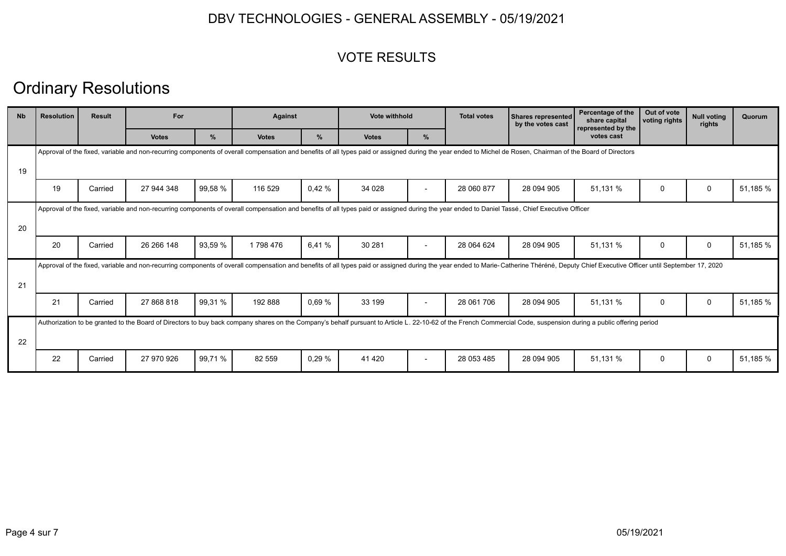### VOTE RESULTS

| <b>N<sub>b</sub></b> | <b>Resolution</b> | <b>Result</b> | For          |         |              | <b>Against</b> |                                                                                                                                                                                                                                | Vote withhold            |            | <b>Shares represented</b><br>by the votes cast | Percentage of the<br>share capital<br>represented by the | Out of vote<br>voting rights | <b>Null voting</b><br>rights | Quorum   |
|----------------------|-------------------|---------------|--------------|---------|--------------|----------------|--------------------------------------------------------------------------------------------------------------------------------------------------------------------------------------------------------------------------------|--------------------------|------------|------------------------------------------------|----------------------------------------------------------|------------------------------|------------------------------|----------|
|                      |                   |               | <b>Votes</b> | $\%$    | <b>Votes</b> | %              | <b>Votes</b>                                                                                                                                                                                                                   | $\frac{9}{6}$            |            |                                                | votes cast                                               |                              |                              |          |
|                      |                   |               |              |         |              |                | Approval of the fixed, variable and non-recurring components of overall compensation and benefits of all types paid or assigned during the year ended to Michel de Rosen, Chairman of the Board of Directors                   |                          |            |                                                |                                                          |                              |                              |          |
| 19                   |                   |               |              |         |              |                |                                                                                                                                                                                                                                |                          |            |                                                |                                                          |                              |                              |          |
|                      | 19                | Carried       | 27 944 348   | 99,58 % | 116 529      | 0,42%          | 34 0 28                                                                                                                                                                                                                        |                          | 28 060 877 | 28 094 905                                     | 51,131 %                                                 | $\Omega$                     | $\Omega$                     | 51,185 % |
|                      |                   |               |              |         |              |                | Approval of the fixed, variable and non-recurring components of overall compensation and benefits of all types paid or assigned during the year ended to Daniel Tassé, Chief Executive Officer                                 |                          |            |                                                |                                                          |                              |                              |          |
| 20                   |                   |               |              |         |              |                |                                                                                                                                                                                                                                |                          |            |                                                |                                                          |                              |                              |          |
|                      | 20                | Carried       | 26 266 148   | 93,59 % | 1798476      | 6.41%          | 30 281                                                                                                                                                                                                                         |                          | 28 064 624 | 28 094 905                                     | 51,131 %                                                 | $\mathbf 0$                  | $\mathbf 0$                  | 51,185 % |
|                      |                   |               |              |         |              |                | Approval of the fixed, variable and non-recurring components of overall compensation and benefits of all types paid or assigned during the year ended to Marie-Catherine Théréné, Deputy Chief Executive Officer until Septemb |                          |            |                                                |                                                          |                              |                              |          |
| 21                   |                   |               |              |         |              |                |                                                                                                                                                                                                                                |                          |            |                                                |                                                          |                              |                              |          |
|                      | 21                | Carried       | 27 868 818   | 99,31 % | 192 888      | 0.69%          | 33 199                                                                                                                                                                                                                         | $\overline{\phantom{0}}$ | 28 061 706 | 28 094 905                                     | 51,131 %                                                 | $\Omega$                     | 0                            | 51,185 % |
|                      |                   |               |              |         |              |                | Authorization to be granted to the Board of Directors to buy back company shares on the Company's behalf pursuant to Article L. 22-10-62 of the French Commercial Code, suspension during a public offering period             |                          |            |                                                |                                                          |                              |                              |          |
| 22                   |                   |               |              |         |              |                |                                                                                                                                                                                                                                |                          |            |                                                |                                                          |                              |                              |          |
|                      | 22                | Carried       | 27 970 926   | 99,71 % | 82 559       | 0.29%          | 41 4 20                                                                                                                                                                                                                        | $\overline{\phantom{a}}$ | 28 053 485 | 28 094 905                                     | 51,131 %                                                 | 0                            | $\mathbf 0$                  | 51,185 % |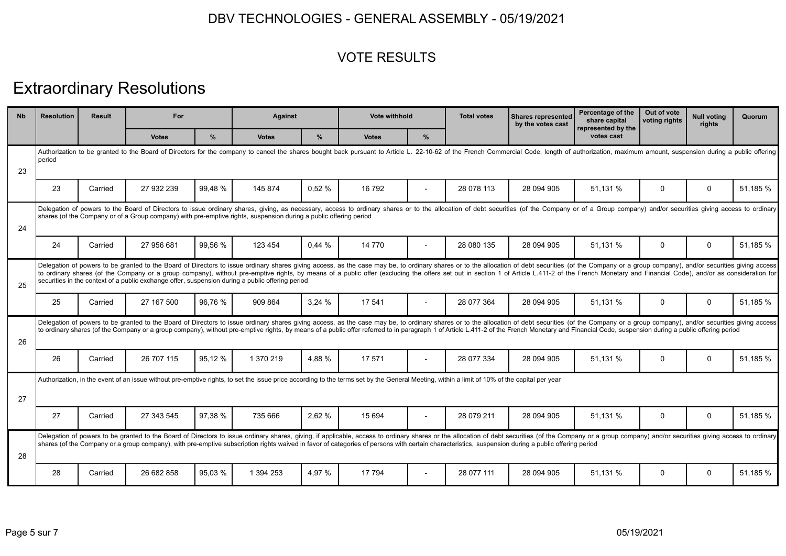### VOTE RESULTS

# Extraordinary Resolutions

| <b>N<sub>b</sub></b> | <b>Resolution</b>                                                                                                                                                                                                                        | <b>Result</b> | For                                                                                                               |               |              | <b>Against</b> |                                                                                                                                                                                                                                                                                                                                                                                                                                                                  | Vote withhold  | <b>Total votes</b> | <b>Shares represented</b><br>by the votes cast | Percentage of the<br>share capital<br>represented by the | Out of vote<br>voting rights | Null voting<br>rights | Quorum   |
|----------------------|------------------------------------------------------------------------------------------------------------------------------------------------------------------------------------------------------------------------------------------|---------------|-------------------------------------------------------------------------------------------------------------------|---------------|--------------|----------------|------------------------------------------------------------------------------------------------------------------------------------------------------------------------------------------------------------------------------------------------------------------------------------------------------------------------------------------------------------------------------------------------------------------------------------------------------------------|----------------|--------------------|------------------------------------------------|----------------------------------------------------------|------------------------------|-----------------------|----------|
|                      |                                                                                                                                                                                                                                          |               | <b>Votes</b>                                                                                                      | $\frac{9}{6}$ | <b>Votes</b> | $\frac{9}{6}$  | <b>Votes</b>                                                                                                                                                                                                                                                                                                                                                                                                                                                     | %              |                    |                                                | votes cast                                               |                              |                       |          |
| 23                   | Authorization to be granted to the Board of Directors for the company to cancel the shares bought back pursuant to Article L. 22-10-62 of the French Commercial Code, length of authorization, maximum amount, suspension duri<br>period |               |                                                                                                                   |               |              |                |                                                                                                                                                                                                                                                                                                                                                                                                                                                                  |                |                    |                                                |                                                          |                              |                       |          |
|                      | 23                                                                                                                                                                                                                                       | Carried       | 27 932 239                                                                                                        | 99.48 %       | 145 874      | 0.52%          | 16 792                                                                                                                                                                                                                                                                                                                                                                                                                                                           |                | 28 078 113         | 28 094 905                                     | 51,131 %                                                 | 0                            | 0                     | 51,185 % |
| 24                   |                                                                                                                                                                                                                                          |               | shares (of the Company or of a Group company) with pre-emptive rights, suspension during a public offering period |               |              |                | Delegation of powers to the Board of Directors to issue ordinary shares, giving, as necessary, access to ordinary shares or to the allocation of debt securities (of the Company or of a Group company) and/or securities givi                                                                                                                                                                                                                                   |                |                    |                                                |                                                          |                              |                       |          |
|                      | 24                                                                                                                                                                                                                                       | Carried       | 27 956 681                                                                                                        | 99.56 %       | 123 454      | 0.44%          | 14 770                                                                                                                                                                                                                                                                                                                                                                                                                                                           |                | 28 080 135         | 28 094 905                                     | 51,131 %                                                 | 0                            | 0                     | 51,185 % |
| 25                   |                                                                                                                                                                                                                                          |               | securities in the context of a public exchange offer, suspension during a public offering period                  |               |              |                | Delegation of powers to be granted to the Board of Directors to issue ordinary shares giving access, as the case may be, to ordinary shares or to the allocation of debt securities (of the Company or a group company), and/o<br>to ordinary shares (of the Company or a group company), without pre-emptive rights, by means of a public offer (excluding the offers set out in section 1 of Article L.411-2 of the French Monetary and Financial Code), and/o |                |                    |                                                |                                                          |                              |                       |          |
|                      | 25                                                                                                                                                                                                                                       | Carried       | 27 167 500                                                                                                        | 96,76 %       | 909 864      | 3,24%          | 17 541                                                                                                                                                                                                                                                                                                                                                                                                                                                           |                | 28 077 364         | 28 094 905                                     | 51,131 %                                                 | 0                            | 0                     | 51,185 % |
| 26                   |                                                                                                                                                                                                                                          |               |                                                                                                                   |               |              |                | Delegation of powers to be granted to the Board of Directors to issue ordinary shares giving access, as the case may be, to ordinary shares or to the allocation of debt securities (of the Company or a group company), and/o<br>to ordinary shares (of the Company or a group company), without pre-emptive rights, by means of a public offer referred to in paragraph 1 of Article L.411-2 of the French Monetary and Financial Code, suspension during a pu |                |                    |                                                |                                                          |                              |                       |          |
|                      | 26                                                                                                                                                                                                                                       | Carried       | 26 707 115                                                                                                        | 95.12 %       | 1 370 219    | 4.88 %         | 17 571                                                                                                                                                                                                                                                                                                                                                                                                                                                           | $\overline{a}$ | 28 077 334         | 28 094 905                                     | 51,131 %                                                 | 0                            | $\mathbf 0$           | 51,185 % |
| 27                   |                                                                                                                                                                                                                                          |               |                                                                                                                   |               |              |                | Authorization, in the event of an issue without pre-emptive rights, to set the issue price according to the terms set by the General Meeting, within a limit of 10% of the capital per year                                                                                                                                                                                                                                                                      |                |                    |                                                |                                                          |                              |                       |          |
|                      | 27                                                                                                                                                                                                                                       | Carried       | 27 343 545                                                                                                        | 97.38 %       | 735 666      | 2,62 %         | 15 6 94                                                                                                                                                                                                                                                                                                                                                                                                                                                          |                | 28 079 211         | 28 094 905                                     | 51,131 %                                                 | 0                            | $\mathbf 0$           | 51,185 % |
| 28                   |                                                                                                                                                                                                                                          |               |                                                                                                                   |               |              |                | Delegation of powers to be granted to the Board of Directors to issue ordinary shares, giving, if applicable, access to ordinary shares or the allocation of debt securities (of the Company or a group company) and/or securi<br>shares (of the Company or a group company), with pre-emptive subscription rights waived in favor of categories of persons with certain characteristics, suspension during a public offering period                             |                |                    |                                                |                                                          |                              |                       |          |
|                      | 28                                                                                                                                                                                                                                       | Carried       | 26 682 858                                                                                                        | 95,03 %       | 1 394 253    | 4.97 %         | 17 794                                                                                                                                                                                                                                                                                                                                                                                                                                                           | $\overline{a}$ | 28 077 111         | 28 094 905                                     | 51,131 %                                                 | $\Omega$                     | $\Omega$              | 51,185 % |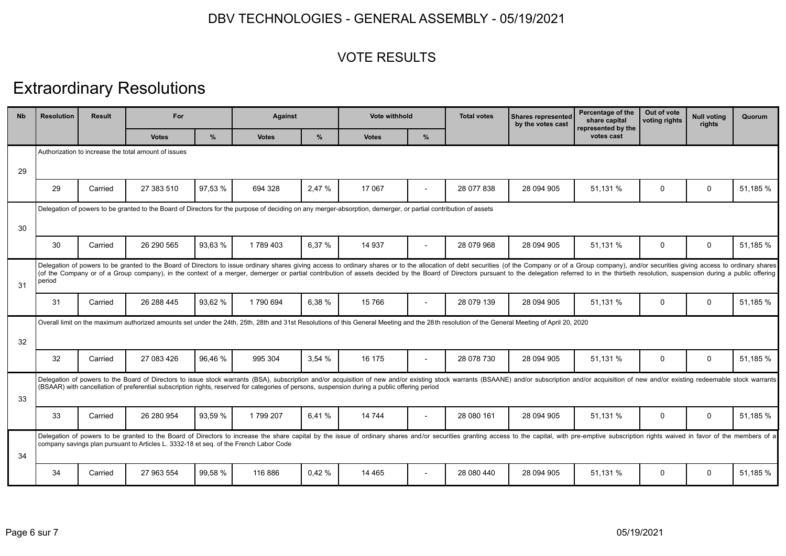### VOTE RESULTS

# Extraordinary Resolutions

| <b>N<sub>b</sub></b> | <b>Resolution</b> | <b>Result</b> | For                                                                                   |         | <b>Against</b> |        | Vote withhold                                                                                                                                                                                                                                                                                                                                                                                                                                                    |                          | <b>Total votes</b> | <b>Shares represented</b><br>by the votes cast | Percentage of the<br>share capital<br>represented by the | Out of vote<br>voting rights | <b>Null voting</b><br>rights | Quorum   |
|----------------------|-------------------|---------------|---------------------------------------------------------------------------------------|---------|----------------|--------|------------------------------------------------------------------------------------------------------------------------------------------------------------------------------------------------------------------------------------------------------------------------------------------------------------------------------------------------------------------------------------------------------------------------------------------------------------------|--------------------------|--------------------|------------------------------------------------|----------------------------------------------------------|------------------------------|------------------------------|----------|
|                      |                   |               | <b>Votes</b>                                                                          | $\%$    | <b>Votes</b>   | $\%$   | <b>Votes</b>                                                                                                                                                                                                                                                                                                                                                                                                                                                     | %                        |                    |                                                | votes cast                                               |                              |                              |          |
|                      |                   |               | Authorization to increase the total amount of issues                                  |         |                |        |                                                                                                                                                                                                                                                                                                                                                                                                                                                                  |                          |                    |                                                |                                                          |                              |                              |          |
| 29                   |                   |               |                                                                                       |         |                |        |                                                                                                                                                                                                                                                                                                                                                                                                                                                                  |                          |                    |                                                |                                                          |                              |                              |          |
|                      | 29                | Carried       | 27 383 510                                                                            | 97.53 % | 694 328        | 2.47 % | 17 067                                                                                                                                                                                                                                                                                                                                                                                                                                                           |                          | 28 077 838         | 28 094 905                                     | 51.131 %                                                 | 0                            | 0                            | 51.185 % |
|                      |                   |               |                                                                                       |         |                |        | Delegation of powers to be granted to the Board of Directors for the purpose of deciding on any merger-absorption, demerger, or partial contribution of assets                                                                                                                                                                                                                                                                                                   |                          |                    |                                                |                                                          |                              |                              |          |
| 30                   |                   |               |                                                                                       |         |                |        |                                                                                                                                                                                                                                                                                                                                                                                                                                                                  |                          |                    |                                                |                                                          |                              |                              |          |
|                      | 30                | Carried       | 26 290 565                                                                            | 93,63 % | 1789403        | 6,37%  | 14 937                                                                                                                                                                                                                                                                                                                                                                                                                                                           |                          | 28 079 968         | 28 094 905                                     | 51,131 %                                                 | 0                            | $\mathbf 0$                  | 51,185 % |
| 31                   | period            |               |                                                                                       |         |                |        | Delegation of powers to be granted to the Board of Directors to issue ordinary shares giving access to ordinary shares or to the allocation of debt securities (of the Company or of a Group company), and/or securities givin<br>(of the Company or of a Group company), in the context of a merger, demerger or partial contribution of assets decided by the Board of Directors pursuant to the delegation referred to in the thirtieth resolution, suspensio |                          |                    |                                                |                                                          |                              |                              |          |
|                      | 31                | Carried       | 26 288 445                                                                            | 93.62 % | 1 790 694      | 6.38%  | 15766                                                                                                                                                                                                                                                                                                                                                                                                                                                            | $\overline{\phantom{a}}$ | 28 079 139         | 28 094 905                                     | 51.131 %                                                 | 0                            | $\mathbf 0$                  | 51,185 % |
|                      |                   |               |                                                                                       |         |                |        | Overall limit on the maximum authorized amounts set under the 24th, 25th, 28th and 31st Resolutions of this General Meeting and the 28th resolution of the General Meeting of April 20, 2020                                                                                                                                                                                                                                                                     |                          |                    |                                                |                                                          |                              |                              |          |
| 32                   |                   |               |                                                                                       |         |                |        |                                                                                                                                                                                                                                                                                                                                                                                                                                                                  |                          |                    |                                                |                                                          |                              |                              |          |
|                      | 32                | Carried       | 27 083 426                                                                            | 96.46 % | 995 304        | 3.54%  | 16 175                                                                                                                                                                                                                                                                                                                                                                                                                                                           | $\overline{\phantom{a}}$ | 28 078 730         | 28 094 905                                     | 51,131 %                                                 | 0                            | 0                            | 51,185 % |
| 33                   |                   |               |                                                                                       |         |                |        | Delegation of powers to the Board of Directors to issue stock warrants (BSA), subscription and/or acquisition of new and/or existing stock warrants (BSAANE) and/or subscription and/or acquisition of new and/or existing red<br>(BSAAR) with cancellation of preferential subscription rights, reserved for categories of persons, suspension during a public offering period                                                                                  |                          |                    |                                                |                                                          |                              |                              |          |
|                      | 33                | Carried       | 26 280 954                                                                            | 93.59 % | 1799 207       | 6.41 % | 14 744                                                                                                                                                                                                                                                                                                                                                                                                                                                           | $\overline{\phantom{a}}$ | 28 080 161         | 28 094 905                                     | 51.131 %                                                 | 0                            | $\mathbf 0$                  | 51.185 % |
| 34                   |                   |               | company savings plan pursuant to Articles L. 3332-18 et seq. of the French Labor Code |         |                |        | Delegation of powers to be granted to the Board of Directors to increase the share capital by the issue of ordinary shares and/or securities granting access to the capital, with pre-emptive subscription rights waived in fa                                                                                                                                                                                                                                   |                          |                    |                                                |                                                          |                              |                              |          |
|                      | 34                | Carried       | 27 963 554                                                                            | 99.58 % | 116886         | 0.42%  | 14 4 65                                                                                                                                                                                                                                                                                                                                                                                                                                                          | $\overline{\phantom{a}}$ | 28 080 440         | 28 094 905                                     | 51,131 %                                                 | $\Omega$                     | $\Omega$                     | 51,185 % |